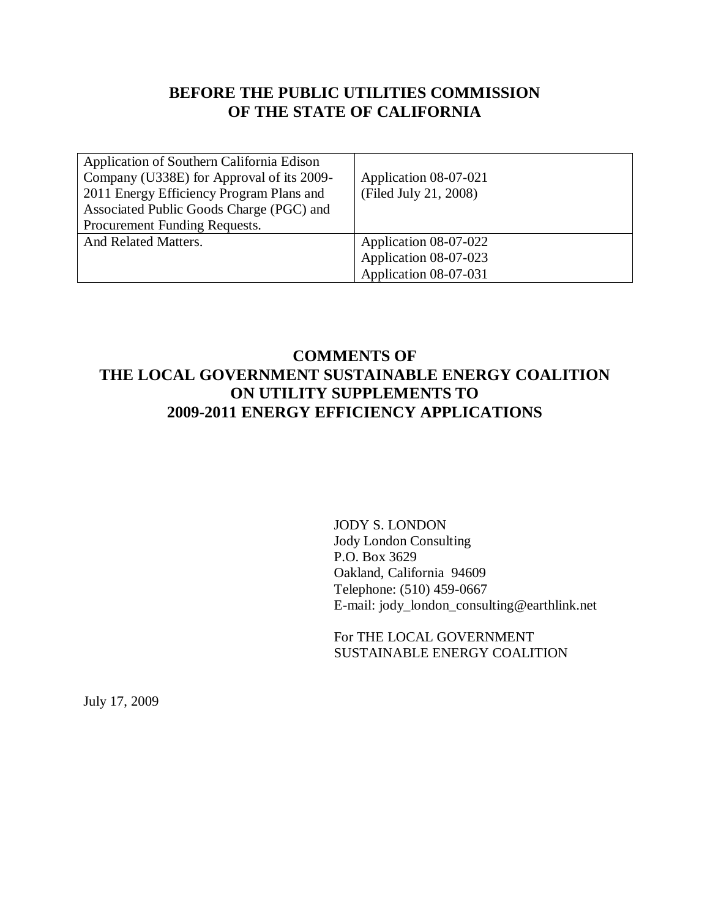# **BEFORE THE PUBLIC UTILITIES COMMISSION OF THE STATE OF CALIFORNIA**

| Application of Southern California Edison<br>Company (U338E) for Approval of its 2009-<br>2011 Energy Efficiency Program Plans and<br>Associated Public Goods Charge (PGC) and<br>Procurement Funding Requests. | Application 08-07-021<br>(Filed July 21, 2008) |
|-----------------------------------------------------------------------------------------------------------------------------------------------------------------------------------------------------------------|------------------------------------------------|
| And Related Matters.                                                                                                                                                                                            | Application 08-07-022<br>Application 08-07-023 |
|                                                                                                                                                                                                                 | Application 08-07-031                          |

## **COMMENTS OF THE LOCAL GOVERNMENT SUSTAINABLE ENERGY COALITION ON UTILITY SUPPLEMENTS TO 2009-2011 ENERGY EFFICIENCY APPLICATIONS**

JODY S. LONDON Jody London Consulting P.O. Box 3629 Oakland, California 94609 Telephone: (510) 459-0667 E-mail: jody\_london\_consulting@earthlink.net

For THE LOCAL GOVERNMENT SUSTAINABLE ENERGY COALITION

July 17, 2009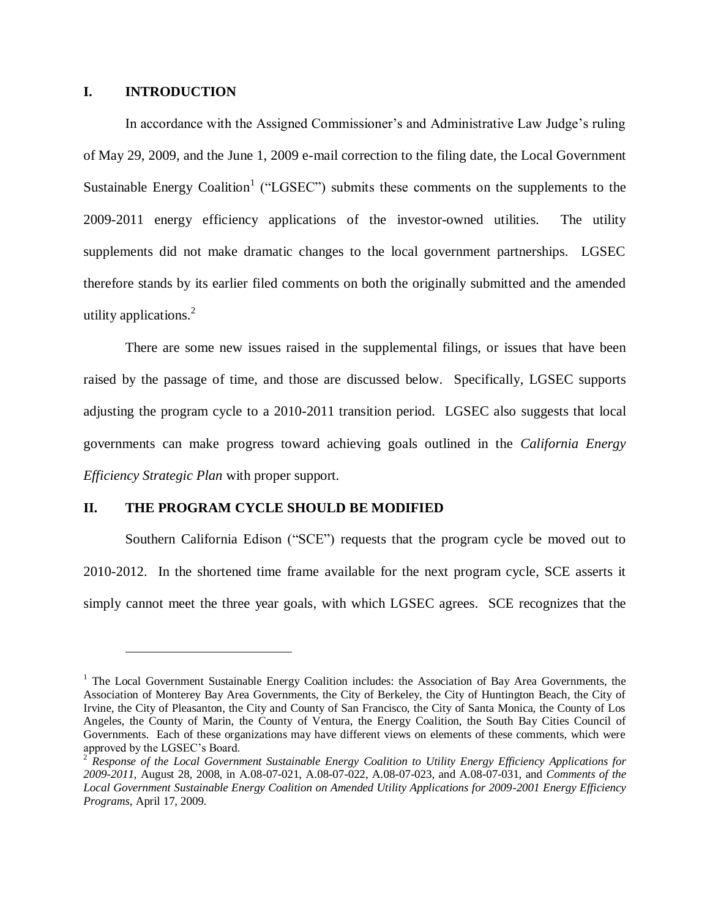#### **I. INTRODUCTION**

 $\overline{a}$ 

In accordance with the Assigned Commissioner's and Administrative Law Judge's ruling of May 29, 2009, and the June 1, 2009 e-mail correction to the filing date, the Local Government Sustainable Energy Coalition<sup>1</sup> ("LGSEC") submits these comments on the supplements to the 2009-2011 energy efficiency applications of the investor-owned utilities. The utility supplements did not make dramatic changes to the local government partnerships. LGSEC therefore stands by its earlier filed comments on both the originally submitted and the amended utility applications. $2$ 

There are some new issues raised in the supplemental filings, or issues that have been raised by the passage of time, and those are discussed below. Specifically, LGSEC supports adjusting the program cycle to a 2010-2011 transition period. LGSEC also suggests that local governments can make progress toward achieving goals outlined in the *California Energy Efficiency Strategic Plan* with proper support.

#### **II. THE PROGRAM CYCLE SHOULD BE MODIFIED**

Southern California Edison ("SCE") requests that the program cycle be moved out to 2010-2012. In the shortened time frame available for the next program cycle, SCE asserts it simply cannot meet the three year goals, with which LGSEC agrees. SCE recognizes that the

 $<sup>1</sup>$  The Local Government Sustainable Energy Coalition includes: the Association of Bay Area Governments, the</sup> Association of Monterey Bay Area Governments, the City of Berkeley, the City of Huntington Beach, the City of Irvine, the City of Pleasanton, the City and County of San Francisco, the City of Santa Monica, the County of Los Angeles, the County of Marin, the County of Ventura, the Energy Coalition, the South Bay Cities Council of Governments. Each of these organizations may have different views on elements of these comments, which were approved by the LGSEC's Board.

<sup>2</sup> *Response of the Local Government Sustainable Energy Coalition to Utility Energy Efficiency Applications for 2009-2011*, August 28, 2008, in A.08-07-021, A.08-07-022, A.08-07-023, and A.08-07-031, and *Comments of the Local Government Sustainable Energy Coalition on Amended Utility Applications for 2009-2001 Energy Efficiency Programs*, April 17, 2009.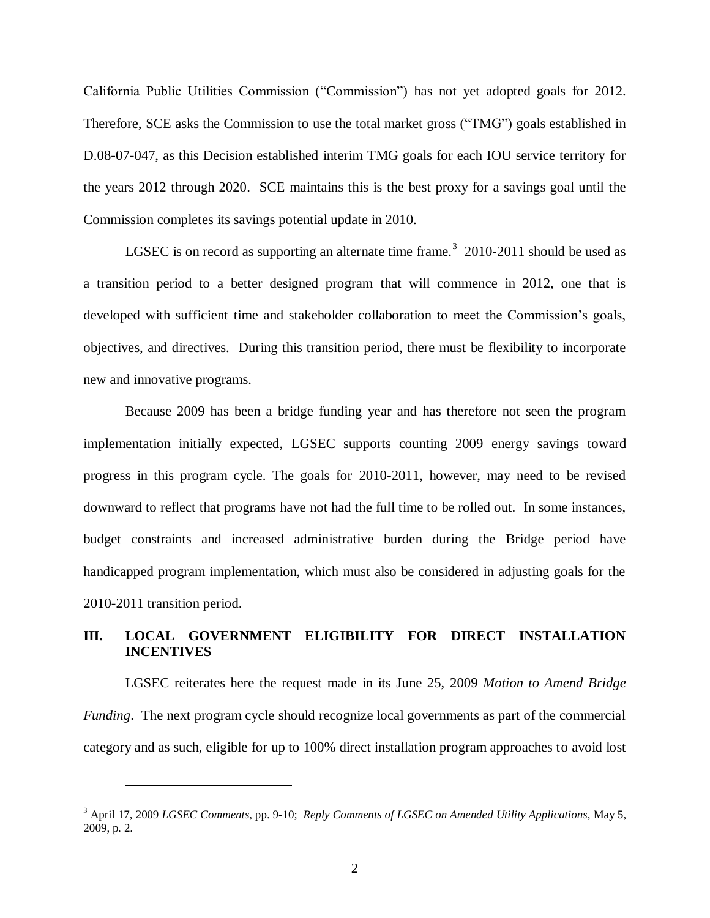California Public Utilities Commission ("Commission") has not yet adopted goals for 2012. Therefore, SCE asks the Commission to use the total market gross ("TMG") goals established in D.08-07-047, as this Decision established interim TMG goals for each IOU service territory for the years 2012 through 2020. SCE maintains this is the best proxy for a savings goal until the Commission completes its savings potential update in 2010.

LGSEC is on record as supporting an alternate time frame.<sup>3</sup> 2010-2011 should be used as a transition period to a better designed program that will commence in 2012, one that is developed with sufficient time and stakeholder collaboration to meet the Commission's goals, objectives, and directives. During this transition period, there must be flexibility to incorporate new and innovative programs.

Because 2009 has been a bridge funding year and has therefore not seen the program implementation initially expected, LGSEC supports counting 2009 energy savings toward progress in this program cycle. The goals for 2010-2011, however, may need to be revised downward to reflect that programs have not had the full time to be rolled out. In some instances, budget constraints and increased administrative burden during the Bridge period have handicapped program implementation, which must also be considered in adjusting goals for the 2010-2011 transition period.

#### **III. LOCAL GOVERNMENT ELIGIBILITY FOR DIRECT INSTALLATION INCENTIVES**

LGSEC reiterates here the request made in its June 25, 2009 *Motion to Amend Bridge Funding*. The next program cycle should recognize local governments as part of the commercial category and as such, eligible for up to 100% direct installation program approaches to avoid lost

 $\overline{a}$ 

<sup>3</sup> April 17, 2009 *LGSEC Comments*, pp. 9-10; *Reply Comments of LGSEC on Amended Utility Applications*, May 5, 2009, p. 2.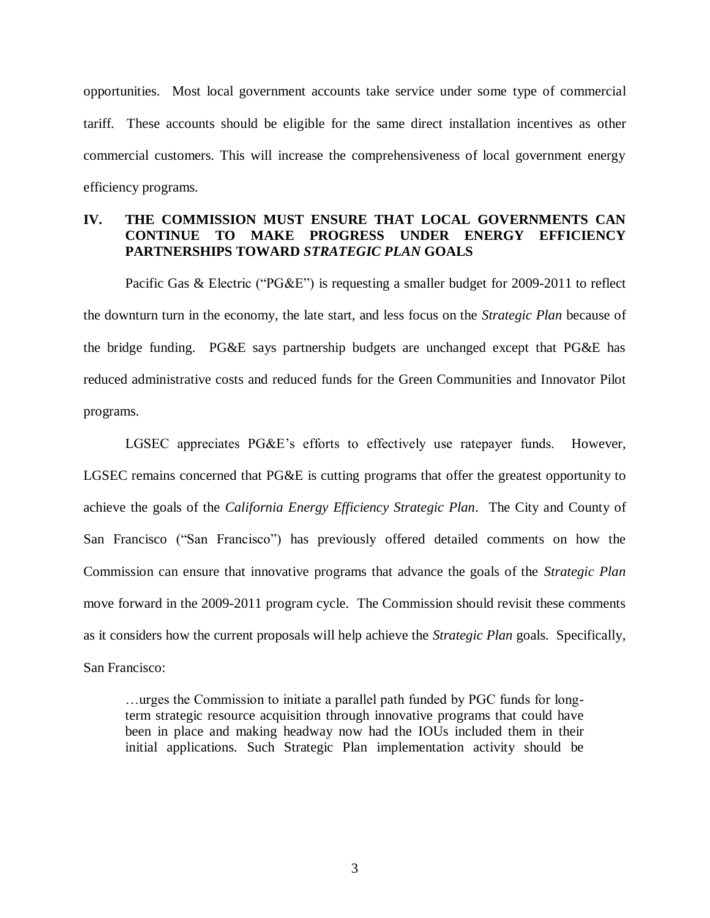opportunities. Most local government accounts take service under some type of commercial tariff. These accounts should be eligible for the same direct installation incentives as other commercial customers. This will increase the comprehensiveness of local government energy efficiency programs.

### **IV. THE COMMISSION MUST ENSURE THAT LOCAL GOVERNMENTS CAN CONTINUE TO MAKE PROGRESS UNDER ENERGY EFFICIENCY PARTNERSHIPS TOWARD** *STRATEGIC PLAN* **GOALS**

Pacific Gas & Electric ("PG&E") is requesting a smaller budget for 2009-2011 to reflect the downturn turn in the economy, the late start, and less focus on the *Strategic Plan* because of the bridge funding. PG&E says partnership budgets are unchanged except that PG&E has reduced administrative costs and reduced funds for the Green Communities and Innovator Pilot programs.

LGSEC appreciates PG&E's efforts to effectively use ratepayer funds. However, LGSEC remains concerned that PG&E is cutting programs that offer the greatest opportunity to achieve the goals of the *California Energy Efficiency Strategic Plan*. The City and County of San Francisco ("San Francisco") has previously offered detailed comments on how the Commission can ensure that innovative programs that advance the goals of the *Strategic Plan* move forward in the 2009-2011 program cycle. The Commission should revisit these comments as it considers how the current proposals will help achieve the *Strategic Plan* goals. Specifically, San Francisco:

…urges the Commission to initiate a parallel path funded by PGC funds for longterm strategic resource acquisition through innovative programs that could have been in place and making headway now had the IOUs included them in their initial applications. Such Strategic Plan implementation activity should be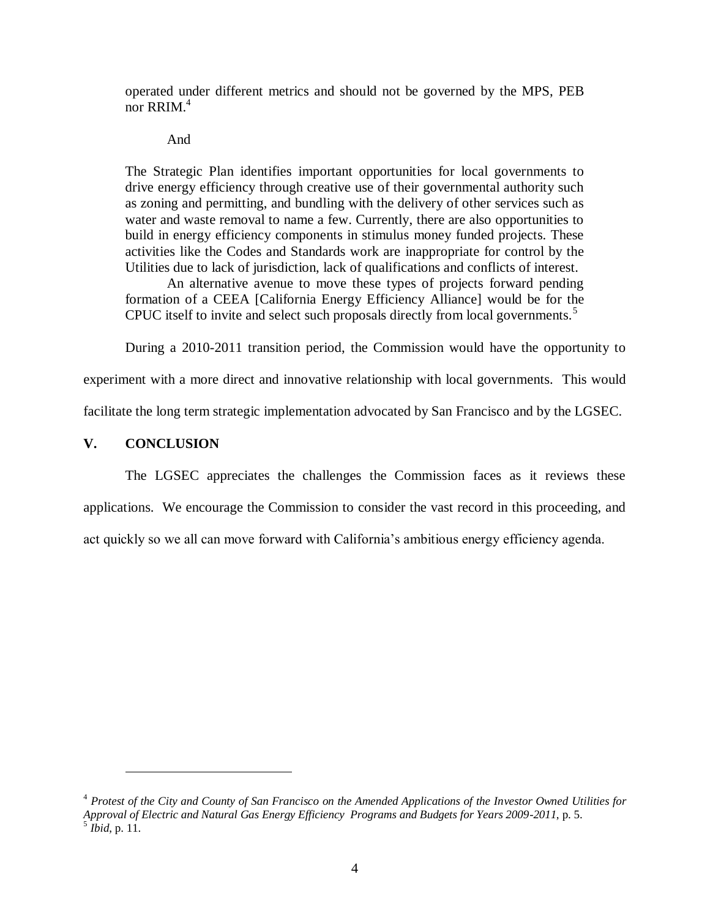operated under different metrics and should not be governed by the MPS, PEB nor RRIM. $<sup>4</sup>$ </sup>

And

The Strategic Plan identifies important opportunities for local governments to drive energy efficiency through creative use of their governmental authority such as zoning and permitting, and bundling with the delivery of other services such as water and waste removal to name a few. Currently, there are also opportunities to build in energy efficiency components in stimulus money funded projects. These activities like the Codes and Standards work are inappropriate for control by the Utilities due to lack of jurisdiction, lack of qualifications and conflicts of interest.

An alternative avenue to move these types of projects forward pending formation of a CEEA [California Energy Efficiency Alliance] would be for the CPUC itself to invite and select such proposals directly from local governments.<sup>5</sup>

During a 2010-2011 transition period, the Commission would have the opportunity to

experiment with a more direct and innovative relationship with local governments. This would

facilitate the long term strategic implementation advocated by San Francisco and by the LGSEC.

### **V. CONCLUSION**

 $\overline{a}$ 

The LGSEC appreciates the challenges the Commission faces as it reviews these applications. We encourage the Commission to consider the vast record in this proceeding, and act quickly so we all can move forward with California's ambitious energy efficiency agenda.

<sup>4</sup> *Protest of the City and County of San Francisco on the Amended Applications of the Investor Owned Utilities for Approval of Electric and Natural Gas Energy Efficiency Programs and Budgets for Years 2009-2011*, p. 5. 5 *Ibid*, p. 11.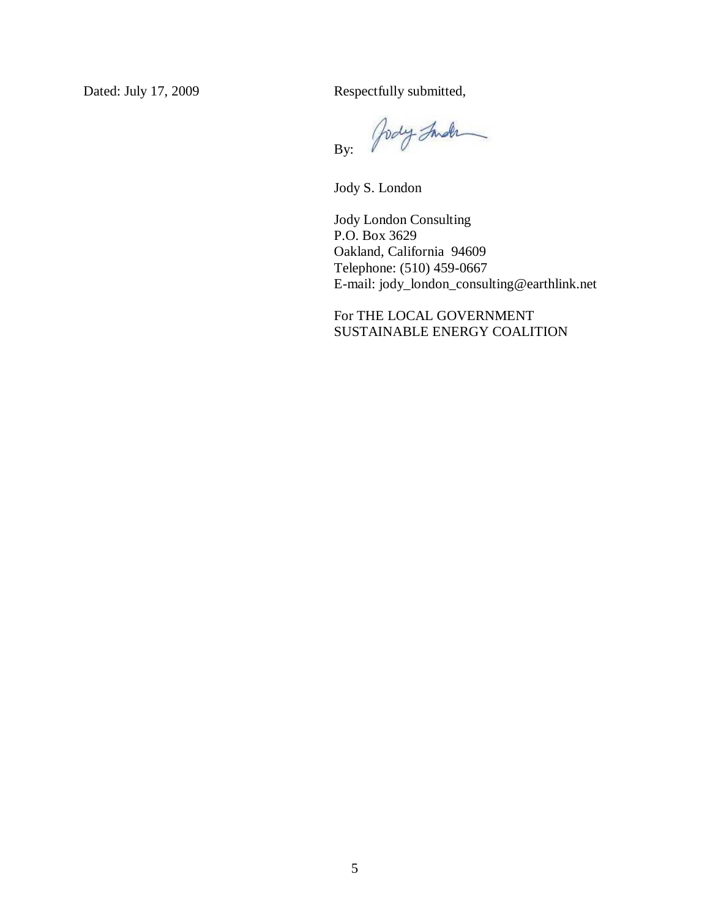Dated: July 17, 2009 Respectfully submitted,

Jody Inder By:

Jody S. London

Jody London Consulting P.O. Box 3629 Oakland, California 94609 Telephone: (510) 459-0667 E-mail: jody\_london\_consulting@earthlink.net

For THE LOCAL GOVERNMENT SUSTAINABLE ENERGY COALITION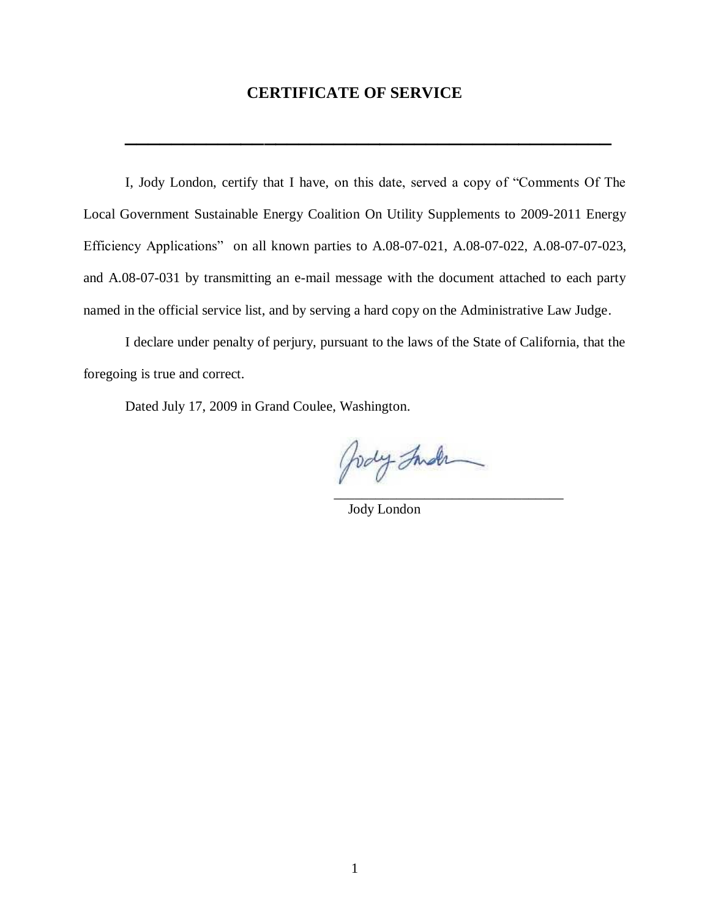## **CERTIFICATE OF SERVICE**

**\_\_\_\_\_\_\_\_\_\_\_\_\_\_\_\_\_\_\_\_\_\_\_\_\_\_\_\_\_\_\_\_\_\_\_\_\_\_\_\_\_\_**

I, Jody London, certify that I have, on this date, served a copy of "Comments Of The Local Government Sustainable Energy Coalition On Utility Supplements to 2009-2011 Energy Efficiency Applications" on all known parties to A.08-07-021, A.08-07-022, A.08-07-07-023, and A.08-07-031 by transmitting an e-mail message with the document attached to each party named in the official service list, and by serving a hard copy on the Administrative Law Judge.

I declare under penalty of perjury, pursuant to the laws of the State of California, that the foregoing is true and correct.

Dated July 17, 2009 in Grand Coulee, Washington.

Jody Inder \_\_\_\_\_\_\_\_\_\_\_\_\_\_\_\_\_\_\_\_\_\_\_\_\_\_\_\_\_\_\_\_\_

Jody London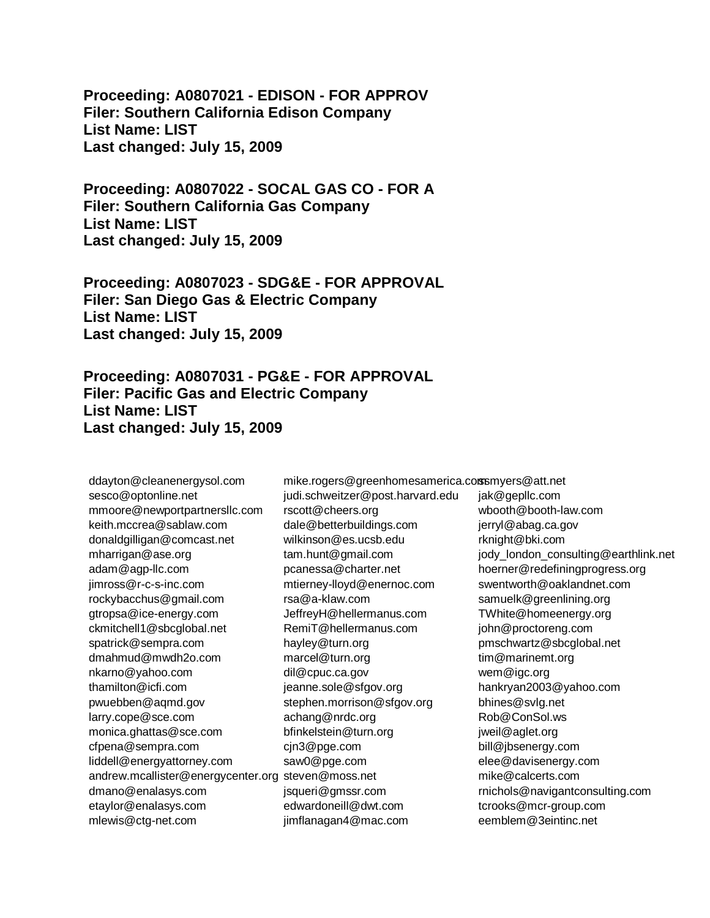**Proceeding: A0807021 - EDISON - FOR APPROV Filer: Southern California Edison Company List Name: LIST Last changed: July 15, 2009** 

**Proceeding: A0807022 - SOCAL GAS CO - FOR A Filer: Southern California Gas Company List Name: LIST Last changed: July 15, 2009** 

**Proceeding: A0807023 - SDG&E - FOR APPROVAL Filer: San Diego Gas & Electric Company List Name: LIST Last changed: July 15, 2009** 

**Proceeding: A0807031 - PG&E - FOR APPROVAL Filer: Pacific Gas and Electric Company List Name: LIST Last changed: July 15, 2009** 

ddayton@cleanenergysol.com sesco@optonline.net mmoore@newportpartnersllc.com keith.mccrea@sablaw.com donaldgilligan@comcast.net mharrigan@ase.org adam@agp-llc.com jimross@r-c-s-inc.com rockybacchus@gmail.com gtropsa@ice-energy.com ckmitchell1@sbcglobal.net spatrick@sempra.com dmahmud@mwdh2o.com nkarno@yahoo.com thamilton@icfi.com pwuebben@aqmd.gov larry.cope@sce.com monica.ghattas@sce.com cfpena@sempra.com liddell@energyattorney.com andrew.mcallister@energycenter.org steven@moss.net dmano@enalasys.com etaylor@enalasys.com mlewis@ctg-net.com

judi.schweitzer@post.harvard.edu rscott@cheers.org dale@betterbuildings.com wilkinson@es.ucsb.edu tam.hunt@gmail.com pcanessa@charter.net mtierney-lloyd@enernoc.com rsa@a-klaw.com JeffreyH@hellermanus.com RemiT@hellermanus.com hayley@turn.org marcel@turn.org dil@cpuc.ca.gov jeanne.sole@sfgov.org stephen.morrison@sfgov.org achang@nrdc.org bfinkelstein@turn.org cjn3@pge.com saw0@pge.com jsqueri@gmssr.com edwardoneill@dwt.com jimflanagan4@mac.com

mike.rogers@greenhomesamerica.comsmyers@att.net jak@gepllc.com wbooth@booth-law.com jerryl@abag.ca.gov rknight@bki.com jody\_london\_consulting@earthlink.net hoerner@redefiningprogress.org swentworth@oaklandnet.com samuelk@greenlining.org TWhite@homeenergy.org john@proctoreng.com pmschwartz@sbcglobal.net tim@marinemt.org wem@igc.org hankryan2003@yahoo.com bhines@svlg.net Rob@ConSol.ws jweil@aglet.org bill@jbsenergy.com elee@davisenergy.com mike@calcerts.com rnichols@navigantconsulting.com tcrooks@mcr-group.com eemblem@3eintinc.net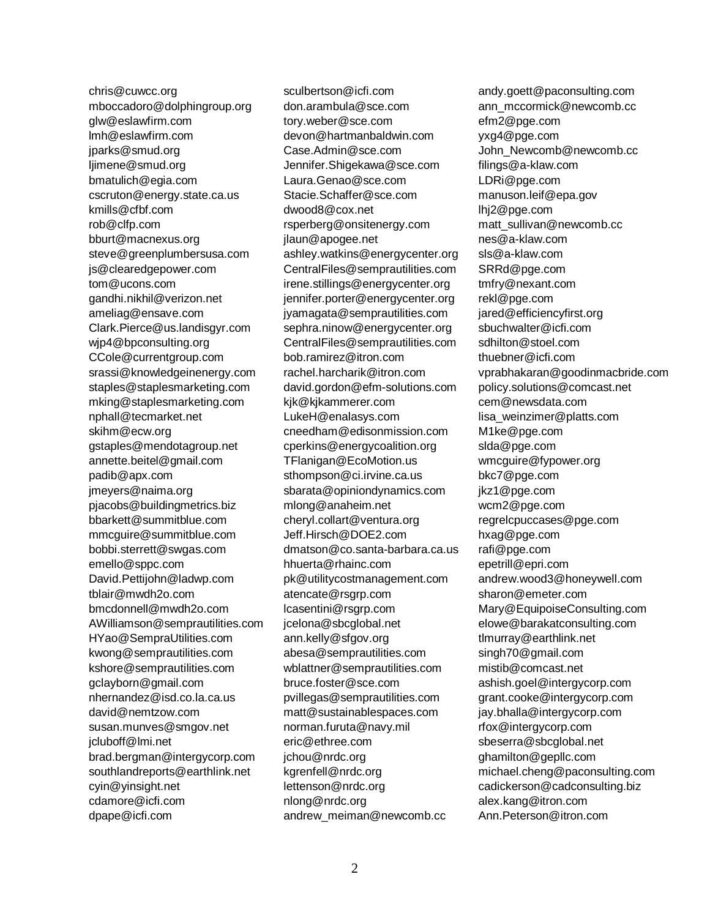chris@cuwcc.org mboccadoro@dolphingroup.org glw@eslawfirm.com lmh@eslawfirm.com jparks@smud.org ljimene@smud.org bmatulich@egia.com cscruton@energy.state.ca.us kmills@cfbf.com rob@clfp.com bburt@macnexus.org steve@greenplumbersusa.com js@clearedgepower.com tom@ucons.com gandhi.nikhil@verizon.net ameliag@ensave.com Clark.Pierce@us.landisgyr.com wjp4@bpconsulting.org CCole@currentgroup.com srassi@knowledgeinenergy.com staples@staplesmarketing.com mking@staplesmarketing.com nphall@tecmarket.net skihm@ecw.org gstaples@mendotagroup.net annette.beitel@gmail.com padib@apx.com jmeyers@naima.org pjacobs@buildingmetrics.biz bbarkett@summitblue.com mmcguire@summitblue.com bobbi.sterrett@swgas.com emello@sppc.com David.Pettijohn@ladwp.com tblair@mwdh2o.com bmcdonnell@mwdh2o.com AWilliamson@semprautilities.com HYao@SempraUtilities.com kwong@semprautilities.com kshore@semprautilities.com gclayborn@gmail.com nhernandez@isd.co.la.ca.us david@nemtzow.com susan.munves@smgov.net jcluboff@lmi.net brad.bergman@intergycorp.com southlandreports@earthlink.net cyin@yinsight.net cdamore@icfi.com dpape@icfi.com

sculbertson@icfi.com don.arambula@sce.com tory.weber@sce.com devon@hartmanbaldwin.com Case.Admin@sce.com Jennifer.Shigekawa@sce.com Laura.Genao@sce.com Stacie.Schaffer@sce.com dwood8@cox.net rsperberg@onsitenergy.com jlaun@apogee.net ashley.watkins@energycenter.org CentralFiles@semprautilities.com irene.stillings@energycenter.org jennifer.porter@energycenter.org jyamagata@semprautilities.com sephra.ninow@energycenter.org CentralFiles@semprautilities.com bob.ramirez@itron.com rachel.harcharik@itron.com david.gordon@efm-solutions.com kjk@kjkammerer.com LukeH@enalasys.com cneedham@edisonmission.com cperkins@energycoalition.org TFlanigan@EcoMotion.us sthompson@ci.irvine.ca.us sbarata@opiniondynamics.com mlong@anaheim.net cheryl.collart@ventura.org Jeff.Hirsch@DOE2.com dmatson@co.santa-barbara.ca.us hhuerta@rhainc.com pk@utilitycostmanagement.com atencate@rsgrp.com lcasentini@rsgrp.com jcelona@sbcglobal.net ann.kelly@sfgov.org abesa@semprautilities.com wblattner@semprautilities.com bruce.foster@sce.com pvillegas@semprautilities.com matt@sustainablespaces.com norman.furuta@navy.mil eric@ethree.com jchou@nrdc.org kgrenfell@nrdc.org lettenson@nrdc.org nlong@nrdc.org andrew\_meiman@newcomb.cc

andy.goett@paconsulting.com ann\_mccormick@newcomb.cc efm2@pge.com yxg4@pge.com John\_Newcomb@newcomb.cc filings@a-klaw.com LDRi@pge.com manuson.leif@epa.gov lhj2@pge.com matt\_sullivan@newcomb.cc nes@a-klaw.com sls@a-klaw.com SRRd@pge.com tmfry@nexant.com rekl@pge.com jared@efficiencyfirst.org sbuchwalter@icfi.com sdhilton@stoel.com thuebner@icfi.com vprabhakaran@goodinmacbride.com policy.solutions@comcast.net cem@newsdata.com lisa\_weinzimer@platts.com M1ke@pge.com slda@pge.com wmcguire@fypower.org bkc7@pge.com jkz1@pge.com wcm2@pge.com regrelcpuccases@pge.com hxag@pge.com rafi@pge.com epetrill@epri.com andrew.wood3@honeywell.com sharon@emeter.com Mary@EquipoiseConsulting.com elowe@barakatconsulting.com tlmurray@earthlink.net singh70@gmail.com mistib@comcast.net ashish.goel@intergycorp.com grant.cooke@intergycorp.com jay.bhalla@intergycorp.com rfox@intergycorp.com sbeserra@sbcglobal.net ghamilton@gepllc.com michael.cheng@paconsulting.com cadickerson@cadconsulting.biz alex.kang@itron.com Ann.Peterson@itron.com